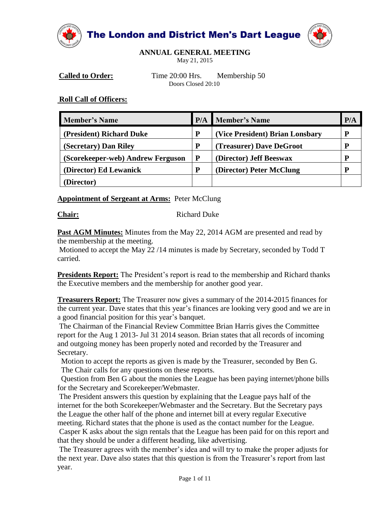



**ANNUAL GENERAL MEETING**

May 21, 2015

**Called to Order:** Time 20:00 Hrs. Membership 50 Doors Closed 20:10

#### **Roll Call of Officers:**

| <b>Member's Name</b>              | P/A | <b>Member's Name</b>            | P/A |
|-----------------------------------|-----|---------------------------------|-----|
| (President) Richard Duke          | P   | (Vice President) Brian Lonsbary |     |
| (Secretary) Dan Riley             | P   | (Treasurer) Dave DeGroot        |     |
| (Scorekeeper-web) Andrew Ferguson | P   | (Director) Jeff Beeswax         |     |
| (Director) Ed Lewanick            | P   | (Director) Peter McClung        |     |
| Director)                         |     |                                 |     |

#### **Appointment of Sergeant at Arms:** Peter McClung

**Chair:** Richard Duke

Past AGM Minutes: Minutes from the May 22, 2014 AGM are presented and read by the membership at the meeting.

Motioned to accept the May 22 /14 minutes is made by Secretary, seconded by Todd T carried.

**Presidents Report:** The President's report is read to the membership and Richard thanks the Executive members and the membership for another good year.

**Treasurers Report:** The Treasurer now gives a summary of the 2014-2015 finances for the current year. Dave states that this year's finances are looking very good and we are in a good financial position for this year's banquet.

The Chairman of the Financial Review Committee Brian Harris gives the Committee report for the Aug 1 2013- Jul 31 2014 season. Brian states that all records of incoming and outgoing money has been properly noted and recorded by the Treasurer and Secretary.

Motion to accept the reports as given is made by the Treasurer, seconded by Ben G. The Chair calls for any questions on these reports.

Question from Ben G about the monies the League has been paying internet/phone bills for the Secretary and Scorekeeper/Webmaster.

The President answers this question by explaining that the League pays half of the internet for the both Scorekeeper/Webmaster and the Secretary. But the Secretary pays the League the other half of the phone and internet bill at every regular Executive meeting. Richard states that the phone is used as the contact number for the League. Casper K asks about the sign rentals that the League has been paid for on this report and that they should be under a different heading, like advertising.

The Treasurer agrees with the member's idea and will try to make the proper adjusts for the next year. Dave also states that this question is from the Treasurer's report from last year.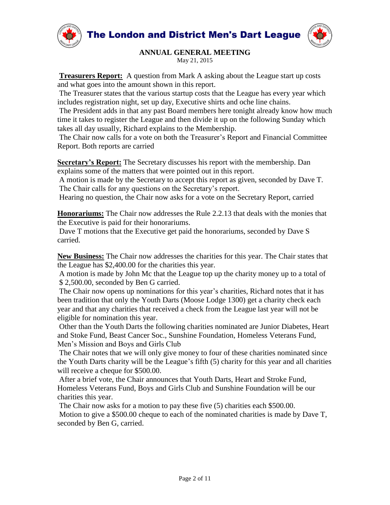



# **ANNUAL GENERAL MEETING**

May 21, 2015

**Treasurers Report:** A question from Mark A asking about the League start up costs and what goes into the amount shown in this report.

The Treasurer states that the various startup costs that the League has every year which includes registration night, set up day, Executive shirts and oche line chains.

The President adds in that any past Board members here tonight already know how much time it takes to register the League and then divide it up on the following Sunday which takes all day usually, Richard explains to the Membership.

The Chair now calls for a vote on both the Treasurer's Report and Financial Committee Report. Both reports are carried

**Secretary's Report:** The Secretary discusses his report with the membership. Dan explains some of the matters that were pointed out in this report.

A motion is made by the Secretary to accept this report as given, seconded by Dave T. The Chair calls for any questions on the Secretary's report.

Hearing no question, the Chair now asks for a vote on the Secretary Report, carried

**Honorariums:** The Chair now addresses the Rule 2.2.13 that deals with the monies that the Executive is paid for their honorariums.

Dave T motions that the Executive get paid the honorariums, seconded by Dave S carried.

**New Business:** The Chair now addresses the charities for this year. The Chair states that the League has \$2,400.00 for the charities this year.

A motion is made by John Mc that the League top up the charity money up to a total of \$ 2,500.00, seconded by Ben G carried.

The Chair now opens up nominations for this year's charities, Richard notes that it has been tradition that only the Youth Darts (Moose Lodge 1300) get a charity check each year and that any charities that received a check from the League last year will not be eligible for nomination this year.

Other than the Youth Darts the following charities nominated are Junior Diabetes, Heart and Stoke Fund, Beast Cancer Soc., Sunshine Foundation, Homeless Veterans Fund, Men's Mission and Boys and Girls Club

The Chair notes that we will only give money to four of these charities nominated since the Youth Darts charity will be the League's fifth (5) charity for this year and all charities will receive a cheque for \$500.00.

After a brief vote, the Chair announces that Youth Darts, Heart and Stroke Fund, Homeless Veterans Fund, Boys and Girls Club and Sunshine Foundation will be our charities this year.

The Chair now asks for a motion to pay these five (5) charities each \$500.00. Motion to give a \$500.00 cheque to each of the nominated charities is made by Dave T, seconded by Ben G, carried.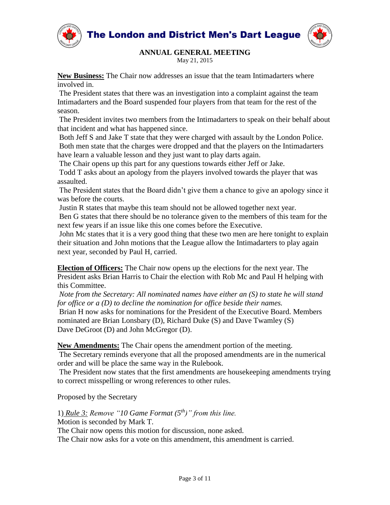



May 21, 2015

**New Business:** The Chair now addresses an issue that the team Intimadarters where involved in.

The President states that there was an investigation into a complaint against the team Intimadarters and the Board suspended four players from that team for the rest of the season.

The President invites two members from the Intimadarters to speak on their behalf about that incident and what has happened since.

Both Jeff S and Jake T state that they were charged with assault by the London Police. Both men state that the charges were dropped and that the players on the Intimadarters have learn a valuable lesson and they just want to play darts again.

The Chair opens up this part for any questions towards either Jeff or Jake.

Todd T asks about an apology from the players involved towards the player that was assaulted.

The President states that the Board didn't give them a chance to give an apology since it was before the courts.

Justin R states that maybe this team should not be allowed together next year.

Ben G states that there should be no tolerance given to the members of this team for the next few years if an issue like this one comes before the Executive.

John Mc states that it is a very good thing that these two men are here tonight to explain their situation and John motions that the League allow the Intimadarters to play again next year, seconded by Paul H, carried.

**Election of Officers:** The Chair now opens up the elections for the next year. The President asks Brian Harris to Chair the election with Rob Mc and Paul H helping with this Committee.

*Note from the Secretary: All nominated names have either an (S) to state he will stand for office or a (D) to decline the nomination for office beside their names.* 

Brian H now asks for nominations for the President of the Executive Board. Members nominated are Brian Lonsbary (D), Richard Duke (S) and Dave Twamley (S) Dave DeGroot (D) and John McGregor (D).

**New Amendments:** The Chair opens the amendment portion of the meeting.

The Secretary reminds everyone that all the proposed amendments are in the numerical order and will be place the same way in the Rulebook.

The President now states that the first amendments are housekeeping amendments trying to correct misspelling or wrong references to other rules.

Proposed by the Secretary

1) *Rule 3: Remove "10 Game Format (5th)" from this line.* Motion is seconded by Mark T.

The Chair now opens this motion for discussion, none asked.

The Chair now asks for a vote on this amendment, this amendment is carried.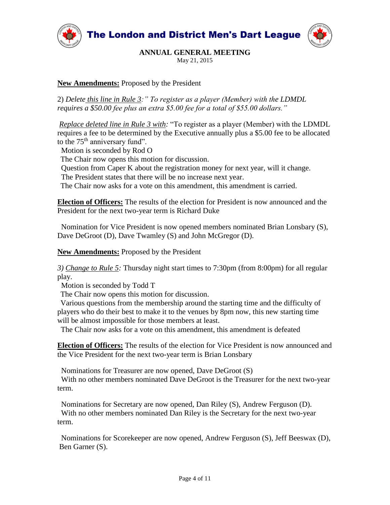



May 21, 2015

## **New Amendments:** Proposed by the President

2) *Delete this line in Rule 3:" To register as a player (Member) with the LDMDL requires a \$50.00 fee plus an extra \$5.00 fee for a total of \$55.00 dollars."*

*Replace deleted line in Rule 3 with:* "To register as a player (Member) with the LDMDL requires a fee to be determined by the Executive annually plus a \$5.00 fee to be allocated to the  $75<sup>th</sup>$  anniversary fund".

Motion is seconded by Rod O

The Chair now opens this motion for discussion.

Question from Caper K about the registration money for next year, will it change.

The President states that there will be no increase next year.

The Chair now asks for a vote on this amendment, this amendment is carried.

**Election of Officers:** The results of the election for President is now announced and the President for the next two-year term is Richard Duke

 Nomination for Vice President is now opened members nominated Brian Lonsbary (S), Dave DeGroot (D), Dave Twamley (S) and John McGregor (D).

**New Amendments:** Proposed by the President

*3) Change to Rule 5:* Thursday night start times to 7:30pm (from 8:00pm) for all regular play.

Motion is seconded by Todd T

The Chair now opens this motion for discussion.

 Various questions from the membership around the starting time and the difficulty of players who do their best to make it to the venues by 8pm now, this new starting time will be almost impossible for those members at least.

The Chair now asks for a vote on this amendment, this amendment is defeated

**Election of Officers:** The results of the election for Vice President is now announced and the Vice President for the next two-year term is Brian Lonsbary

Nominations for Treasurer are now opened, Dave DeGroot (S)

 With no other members nominated Dave DeGroot is the Treasurer for the next two-year term.

 Nominations for Secretary are now opened, Dan Riley (S), Andrew Ferguson (D). With no other members nominated Dan Riley is the Secretary for the next two-year term.

 Nominations for Scorekeeper are now opened, Andrew Ferguson (S), Jeff Beeswax (D), Ben Garner (S).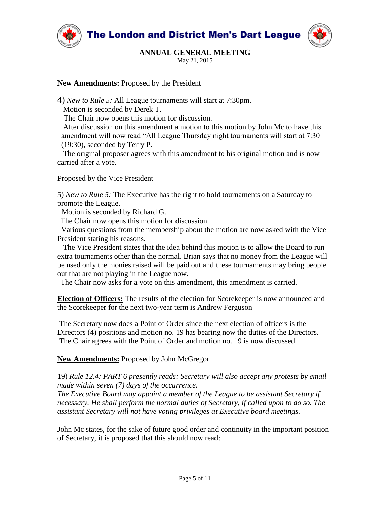



# **ANNUAL GENERAL MEETING**

May 21, 2015

#### **New Amendments:** Proposed by the President

4) *New to Rule 5:* All League tournaments will start at 7:30pm.

Motion is seconded by Derek T.

The Chair now opens this motion for discussion.

 After discussion on this amendment a motion to this motion by John Mc to have this amendment will now read "All League Thursday night tournaments will start at 7:30 (19:30), seconded by Terry P.

 The original proposer agrees with this amendment to his original motion and is now carried after a vote.

Proposed by the Vice President

5) *New to Rule 5:* The Executive has the right to hold tournaments on a Saturday to promote the League.

Motion is seconded by Richard G.

The Chair now opens this motion for discussion.

 Various questions from the membership about the motion are now asked with the Vice President stating his reasons.

 The Vice President states that the idea behind this motion is to allow the Board to run extra tournaments other than the normal. Brian says that no money from the League will be used only the monies raised will be paid out and these tournaments may bring people out that are not playing in the League now.

The Chair now asks for a vote on this amendment, this amendment is carried.

**Election of Officers:** The results of the election for Scorekeeper is now announced and the Scorekeeper for the next two-year term is Andrew Ferguson

The Secretary now does a Point of Order since the next election of officers is the Directors (4) positions and motion no. 19 has bearing now the duties of the Directors. The Chair agrees with the Point of Order and motion no. 19 is now discussed.

**New Amendments:** Proposed by John McGregor

#### 19) *Rule 12.4: PART 6 presently reads: Secretary will also accept any protests by email made within seven (7) days of the occurrence.*

*The Executive Board may appoint a member of the League to be assistant Secretary if necessary. He shall perform the normal duties of Secretary, if called upon to do so. The assistant Secretary will not have voting privileges at Executive board meetings.*

John Mc states, for the sake of future good order and continuity in the important position of Secretary, it is proposed that this should now read: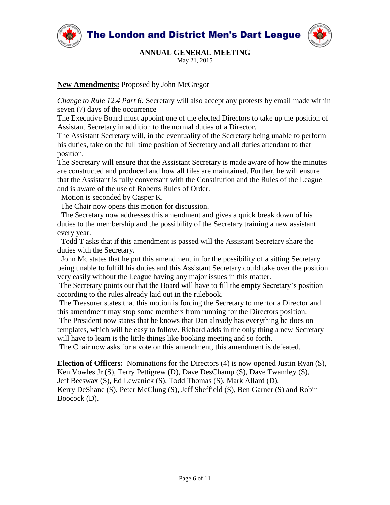



# **ANNUAL GENERAL MEETING**

May 21, 2015

### **New Amendments:** Proposed by John McGregor

*Change to Rule 12.4 Part 6:* Secretary will also accept any protests by email made within seven (7) days of the occurrence

The Executive Board must appoint one of the elected Directors to take up the position of Assistant Secretary in addition to the normal duties of a Director.

The Assistant Secretary will, in the eventuality of the Secretary being unable to perform his duties, take on the full time position of Secretary and all duties attendant to that position.

The Secretary will ensure that the Assistant Secretary is made aware of how the minutes are constructed and produced and how all files are maintained. Further, he will ensure that the Assistant is fully conversant with the Constitution and the Rules of the League and is aware of the use of Roberts Rules of Order.

Motion is seconded by Casper K.

The Chair now opens this motion for discussion.

The Secretary now addresses this amendment and gives a quick break down of his duties to the membership and the possibility of the Secretary training a new assistant every year.

Todd T asks that if this amendment is passed will the Assistant Secretary share the duties with the Secretary.

 John Mc states that he put this amendment in for the possibility of a sitting Secretary being unable to fulfill his duties and this Assistant Secretary could take over the position very easily without the League having any major issues in this matter.

The Secretary points out that the Board will have to fill the empty Secretary's position according to the rules already laid out in the rulebook.

The Treasurer states that this motion is forcing the Secretary to mentor a Director and this amendment may stop some members from running for the Directors position.

The President now states that he knows that Dan already has everything he does on templates, which will be easy to follow. Richard adds in the only thing a new Secretary will have to learn is the little things like booking meeting and so forth.

The Chair now asks for a vote on this amendment, this amendment is defeated.

**Election of Officers:** Nominations for the Directors (4) is now opened Justin Ryan (S), Ken Vowles Jr (S), Terry Pettigrew (D), Dave DesChamp (S), Dave Twamley (S), Jeff Beeswax (S), Ed Lewanick (S), Todd Thomas (S), Mark Allard (D), Kerry DeShane (S), Peter McClung (S), Jeff Sheffield (S), Ben Garner (S) and Robin Boocock (D).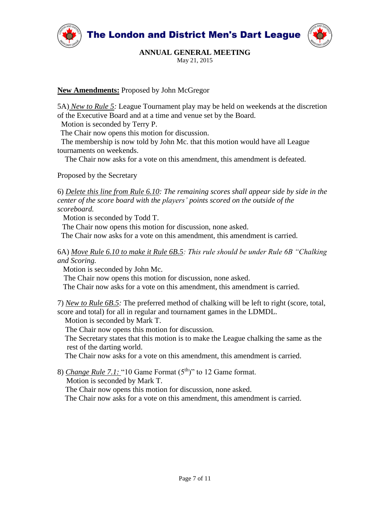



May 21, 2015

### **New Amendments:** Proposed by John McGregor

5A) *New to Rule 5:* League Tournament play may be held on weekends at the discretion of the Executive Board and at a time and venue set by the Board.

Motion is seconded by Terry P.

The Chair now opens this motion for discussion.

 The membership is now told by John Mc. that this motion would have all League tournaments on weekends.

The Chair now asks for a vote on this amendment, this amendment is defeated.

Proposed by the Secretary

6) *Delete this line from Rule 6.10: The remaining scores shall appear side by side in the center of the score board with the players' points scored on the outside of the scoreboard.* 

Motion is seconded by Todd T.

The Chair now opens this motion for discussion, none asked.

The Chair now asks for a vote on this amendment, this amendment is carried.

6A) *Move Rule 6.10 to make it Rule 6B.5: This rule should be under Rule 6B "Chalking and Scoring.*

Motion is seconded by John Mc.

The Chair now opens this motion for discussion, none asked.

The Chair now asks for a vote on this amendment, this amendment is carried.

7) *New to Rule 6B.5:* The preferred method of chalking will be left to right (score, total, score and total) for all in regular and tournament games in the LDMDL.

Motion is seconded by Mark T.

The Chair now opens this motion for discussion.

 The Secretary states that this motion is to make the League chalking the same as the rest of the darting world.

The Chair now asks for a vote on this amendment, this amendment is carried.

8) *Change Rule 7.1:* "10 Game Format  $(5<sup>th</sup>)$ " to 12 Game format.

Motion is seconded by Mark T.

The Chair now opens this motion for discussion, none asked.

The Chair now asks for a vote on this amendment, this amendment is carried.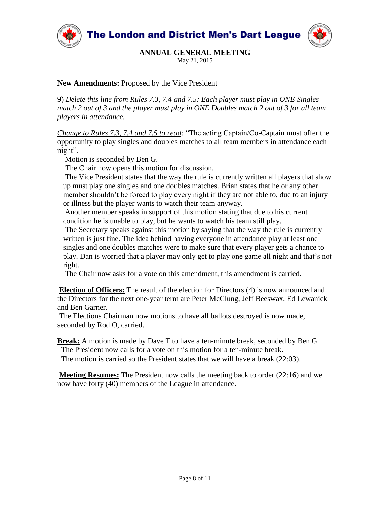

May 21, 2015

**New Amendments:** Proposed by the Vice President

9) *Delete this line from Rules 7.3, 7.4 and 7.5: Each player must play in ONE Singles match 2 out of 3 and the player must play in ONE Doubles match 2 out of 3 for all team players in attendance.*

*Change to Rules 7.3, 7.4 and 7.5 to read:* "The acting Captain/Co-Captain must offer the opportunity to play singles and doubles matches to all team members in attendance each night".

Motion is seconded by Ben G.

The Chair now opens this motion for discussion.

 The Vice President states that the way the rule is currently written all players that show up must play one singles and one doubles matches. Brian states that he or any other member shouldn't be forced to play every night if they are not able to, due to an injury or illness but the player wants to watch their team anyway.

 Another member speaks in support of this motion stating that due to his current condition he is unable to play, but he wants to watch his team still play.

 The Secretary speaks against this motion by saying that the way the rule is currently written is just fine. The idea behind having everyone in attendance play at least one singles and one doubles matches were to make sure that every player gets a chance to play. Dan is worried that a player may only get to play one game all night and that's not right.

The Chair now asks for a vote on this amendment, this amendment is carried.

**Election of Officers:** The result of the election for Directors (4) is now announced and the Directors for the next one-year term are Peter McClung, Jeff Beeswax, Ed Lewanick and Ben Garner.

The Elections Chairman now motions to have all ballots destroyed is now made, seconded by Rod O, carried.

**Break:** A motion is made by Dave T to have a ten-minute break, seconded by Ben G. The President now calls for a vote on this motion for a ten-minute break. The motion is carried so the President states that we will have a break (22:03).

**Meeting Resumes:** The President now calls the meeting back to order (22:16) and we now have forty (40) members of the League in attendance.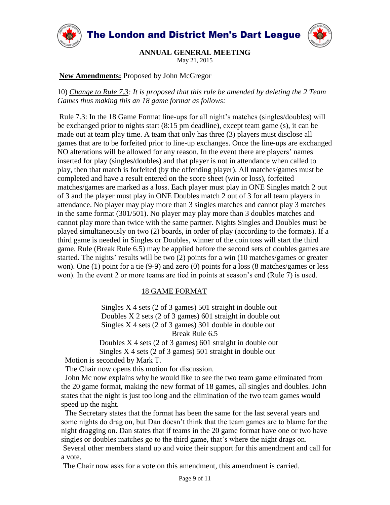

**ANNUAL GENERAL MEETING**

May 21, 2015

**New Amendments:** Proposed by John McGregor

10) *Change to Rule 7.3: It is proposed that this rule be amended by deleting the 2 Team Games thus making this an 18 game format as follows:*

Rule 7.3: In the 18 Game Format line-ups for all night's matches (singles/doubles) will be exchanged prior to nights start (8:15 pm deadline), except team game (s), it can be made out at team play time. A team that only has three (3) players must disclose all games that are to be forfeited prior to line-up exchanges. Once the line-ups are exchanged NO alterations will be allowed for any reason. In the event there are players' names inserted for play (singles/doubles) and that player is not in attendance when called to play, then that match is forfeited (by the offending player). All matches/games must be completed and have a result entered on the score sheet (win or loss), forfeited matches/games are marked as a loss. Each player must play in ONE Singles match 2 out of 3 and the player must play in ONE Doubles match 2 out of 3 for all team players in attendance. No player may play more than 3 singles matches and cannot play 3 matches in the same format (301/501). No player may play more than 3 doubles matches and cannot play more than twice with the same partner. Nights Singles and Doubles must be played simultaneously on two (2) boards, in order of play (according to the formats). If a third game is needed in Singles or Doubles, winner of the coin toss will start the third game. Rule (Break Rule 6.5) may be applied before the second sets of doubles games are started. The nights' results will be two (2) points for a win (10 matches/games or greater won). One (1) point for a tie (9-9) and zero (0) points for a loss (8 matches/games or less won). In the event 2 or more teams are tied in points at season's end (Rule 7) is used.

#### 18 GAME FORMAT

 Singles X 4 sets (2 of 3 games) 501 straight in double out Doubles X 2 sets (2 of 3 games) 601 straight in double out Singles X 4 sets (2 of 3 games) 301 double in double out Break Rule 6.5

 Doubles X 4 sets (2 of 3 games) 601 straight in double out Singles X 4 sets (2 of 3 games) 501 straight in double out

Motion is seconded by Mark T.

The Chair now opens this motion for discussion.

 John Mc now explains why he would like to see the two team game eliminated from the 20 game format, making the new format of 18 games, all singles and doubles. John states that the night is just too long and the elimination of the two team games would speed up the night.

 The Secretary states that the format has been the same for the last several years and some nights do drag on, but Dan doesn't think that the team games are to blame for the night dragging on. Dan states that if teams in the 20 game format have one or two have singles or doubles matches go to the third game, that's where the night drags on. Several other members stand up and voice their support for this amendment and call for a vote.

The Chair now asks for a vote on this amendment, this amendment is carried.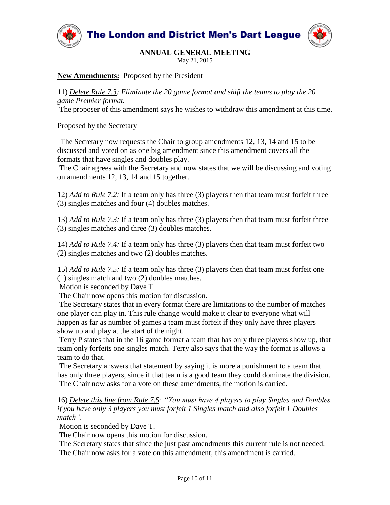

May 21, 2015

#### **New Amendments:** Proposed by the President

11) *Delete Rule 7.3: Eliminate the 20 game format and shift the teams to play the 20 game Premier format.*

The proposer of this amendment says he wishes to withdraw this amendment at this time.

Proposed by the Secretary

 The Secretary now requests the Chair to group amendments 12, 13, 14 and 15 to be discussed and voted on as one big amendment since this amendment covers all the formats that have singles and doubles play.

The Chair agrees with the Secretary and now states that we will be discussing and voting on amendments 12, 13, 14 and 15 together.

12) *Add to Rule 7.2:* If a team only has three (3) players then that team must forfeit three (3) singles matches and four (4) doubles matches.

13) *Add to Rule 7.3:* If a team only has three (3) players then that team must forfeit three (3) singles matches and three (3) doubles matches.

14) *Add to Rule 7.4:* If a team only has three (3) players then that team must forfeit two (2) singles matches and two (2) doubles matches.

15) *Add to Rule 7.5:* If a team only has three (3) players then that team must forfeit one (1) singles match and two (2) doubles matches.

Motion is seconded by Dave T.

The Chair now opens this motion for discussion.

The Secretary states that in every format there are limitations to the number of matches one player can play in. This rule change would make it clear to everyone what will happen as far as number of games a team must forfeit if they only have three players show up and play at the start of the night.

Terry P states that in the 16 game format a team that has only three players show up, that team only forfeits one singles match. Terry also says that the way the format is allows a team to do that.

The Secretary answers that statement by saying it is more a punishment to a team that has only three players, since if that team is a good team they could dominate the division. The Chair now asks for a vote on these amendments, the motion is carried.

16) *Delete this line from Rule 7.5: "You must have 4 players to play Singles and Doubles, if you have only 3 players you must forfeit 1 Singles match and also forfeit 1 Doubles match".*

Motion is seconded by Dave T.

The Chair now opens this motion for discussion.

The Secretary states that since the just past amendments this current rule is not needed. The Chair now asks for a vote on this amendment, this amendment is carried.